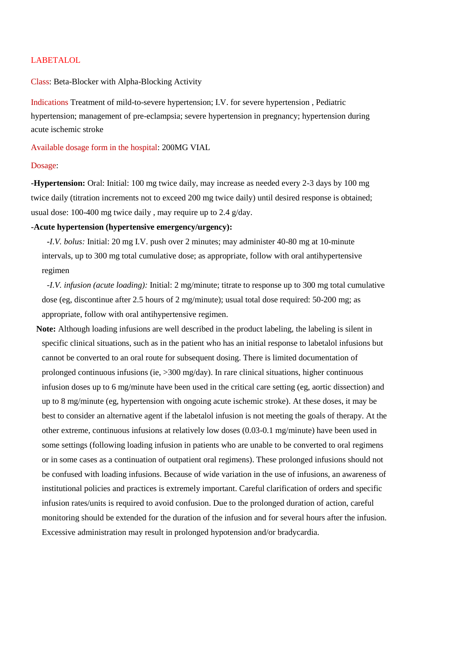## LABETALOL

## Class: Beta-Blocker with Alpha-Blocking Activity

Indications Treatment of mild-to-severe hypertension; I.V. for severe hypertension , Pediatric hypertension; management of pre-eclampsia; severe hypertension in pregnancy; hypertension during acute ischemic stroke

Available dosage form in the hospital: 200MG VIAL

## Dosage:

**-Hypertension:** Oral: Initial: 100 mg twice daily, may increase as needed every 2-3 days by 100 mg twice daily (titration increments not to exceed 200 mg twice daily) until desired response is obtained; usual dose: 100-400 mg twice daily , may require up to 2.4 g/day.

# **-Acute hypertension (hypertensive emergency/urgency):**

 **-***I.V. bolus:* Initial: 20 mg I.V. push over 2 minutes; may administer 40-80 mg at 10-minute intervals, up to 300 mg total cumulative dose; as appropriate, follow with oral antihypertensive regimen

 *-I.V. infusion (acute loading):* Initial: 2 mg/minute; titrate to response up to 300 mg total cumulative dose (eg, discontinue after 2.5 hours of 2 mg/minute); usual total dose required: 50-200 mg; as appropriate, follow with oral antihypertensive regimen.

**Note:** Although loading infusions are well described in the product labeling, the labeling is silent in specific clinical situations, such as in the patient who has an initial response to labetalol infusions but cannot be converted to an oral route for subsequent dosing. There is limited documentation of prolonged continuous infusions (ie, >300 mg/day). In rare clinical situations, higher continuous infusion doses up to 6 mg/minute have been used in the critical care setting (eg, aortic dissection) and up to 8 mg/minute (eg, hypertension with ongoing acute ischemic stroke). At these doses, it may be best to consider an alternative agent if the labetalol infusion is not meeting the goals of therapy. At the other extreme, continuous infusions at relatively low doses (0.03-0.1 mg/minute) have been used in some settings (following loading infusion in patients who are unable to be converted to oral regimens or in some cases as a continuation of outpatient oral regimens). These prolonged infusions should not be confused with loading infusions. Because of wide variation in the use of infusions, an awareness of institutional policies and practices is extremely important. Careful clarification of orders and specific infusion rates/units is required to avoid confusion. Due to the prolonged duration of action, careful monitoring should be extended for the duration of the infusion and for several hours after the infusion. Excessive administration may result in prolonged hypotension and/or bradycardia.